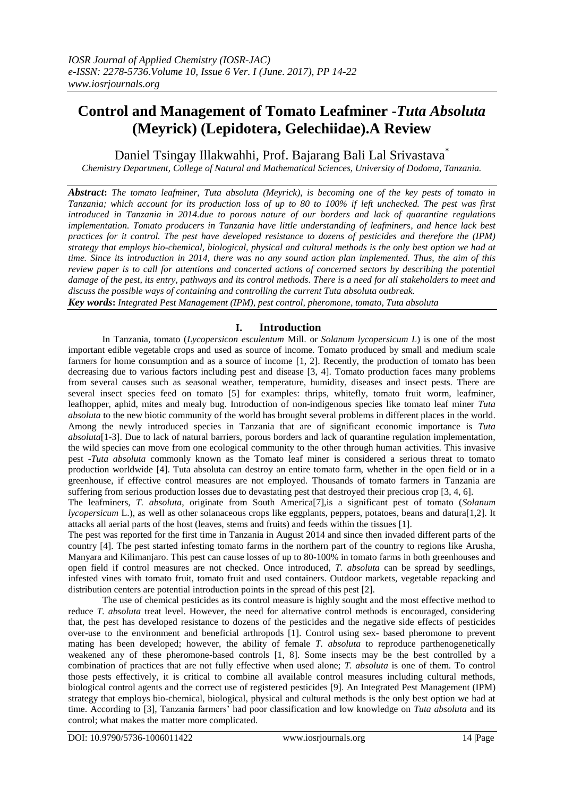# **Control and Management of Tomato Leafminer -***Tuta Absoluta* **(Meyrick) (Lepidotera, Gelechiidae).A Review**

Daniel Tsingay Illakwahhi, Prof. Bajarang Bali Lal Srivastava<sup>\*</sup>

*Chemistry Department, College of Natural and Mathematical Sciences, University of Dodoma, Tanzania.*

*Abstract***:** *The tomato leafminer, Tuta absoluta (Meyrick), is becoming one of the key pests of tomato in Tanzania; which account for its production loss of up to 80 to 100% if left unchecked. The pest was first introduced in Tanzania in 2014.due to porous nature of our borders and lack of quarantine regulations implementation. Tomato producers in Tanzania have little understanding of leafminers, and hence lack best practices for it control. The pest have developed resistance to dozens of pesticides and therefore the (IPM) strategy that employs bio-chemical, biological, physical and cultural methods is the only best option we had at time. Since its introduction in 2014, there was no any sound action plan implemented. Thus, the aim of this review paper is to call for attentions and concerted actions of concerned sectors by describing the potential damage of the pest, its entry, pathways and its control methods. There is a need for all stakeholders to meet and discuss the possible ways of containing and controlling the current Tuta absoluta outbreak. Key words***:** *Integrated Pest Management (IPM), pest control, pheromone, tomato, Tuta absoluta*

# **I. Introduction**

In Tanzania, tomato (*Lycopersicon esculentum* Mill. or *Solanum lycopersicum L*) is one of the most important edible vegetable crops and used as source of income. Tomato produced by small and medium scale farmers for home consumption and as a source of income [1, 2]. Recently, the production of tomato has been decreasing due to various factors including pest and disease [3, 4]. Tomato production faces many problems from several causes such as seasonal weather, temperature, humidity, diseases and insect pests. There are several insect species feed on tomato [5] for examples: thrips, whitefly, tomato fruit worm, leafminer, leafhopper, aphid, mites and mealy bug. Introduction of non-indigenous species like tomato leaf miner *Tuta absoluta* to the new biotic community of the world has brought several problems in different places in the world. Among the newly introduced species in Tanzania that are of significant economic importance is *Tuta absoluta*[1-3]. Due to lack of natural barriers, porous borders and lack of quarantine regulation implementation, the wild species can move from one ecological community to the other through human activities. This invasive pest -*Tuta absoluta* commonly known as the Tomato leaf miner is considered a serious threat to tomato production worldwide [4]. Tuta absoluta can destroy an entire tomato farm, whether in the open field or in a greenhouse, if effective control measures are not employed. Thousands of tomato farmers in Tanzania are suffering from serious production losses due to devastating pest that destroyed their precious crop [3, 4, 6].

The leafminers, *T. absoluta*, originate from South America[7],is a significant pest of tomato (*Solanum lycopersicum* L.), as well as other solanaceous crops like eggplants, peppers, potatoes, beans and datura[1,2]. It attacks all aerial parts of the host (leaves, stems and fruits) and feeds within the tissues [1].

The pest was reported for the first time in Tanzania in August 2014 and since then invaded different parts of the country [4]. The pest started infesting tomato farms in the northern part of the country to regions like Arusha, Manyara and Kilimanjaro. This pest can cause losses of up to 80-100% in tomato farms in both greenhouses and open field if control measures are not checked. Once introduced, *T. absoluta* can be spread by seedlings, infested vines with tomato fruit, tomato fruit and used containers. Outdoor markets, vegetable repacking and distribution centers are potential introduction points in the spread of this pest [2].

The use of chemical pesticides as its control measure is highly sought and the most effective method to reduce *T. absoluta* treat level. However, the need for alternative control methods is encouraged, considering that, the pest has developed resistance to dozens of the pesticides and the negative side effects of pesticides over-use to the environment and beneficial arthropods [1]. Control using sex- based pheromone to prevent mating has been developed; however, the ability of female *T. absoluta* to reproduce parthenogenetically weakened any of these pheromone-based controls [1, 8]. Some insects may be the best controlled by a combination of practices that are not fully effective when used alone; *T. absoluta* is one of them. To control those pests effectively, it is critical to combine all available control measures including cultural methods, biological control agents and the correct use of registered pesticides [9]. An Integrated Pest Management (IPM) strategy that employs bio-chemical, biological, physical and cultural methods is the only best option we had at time. According to [3], Tanzania farmers' had poor classification and low knowledge on *Tuta absoluta* and its control; what makes the matter more complicated.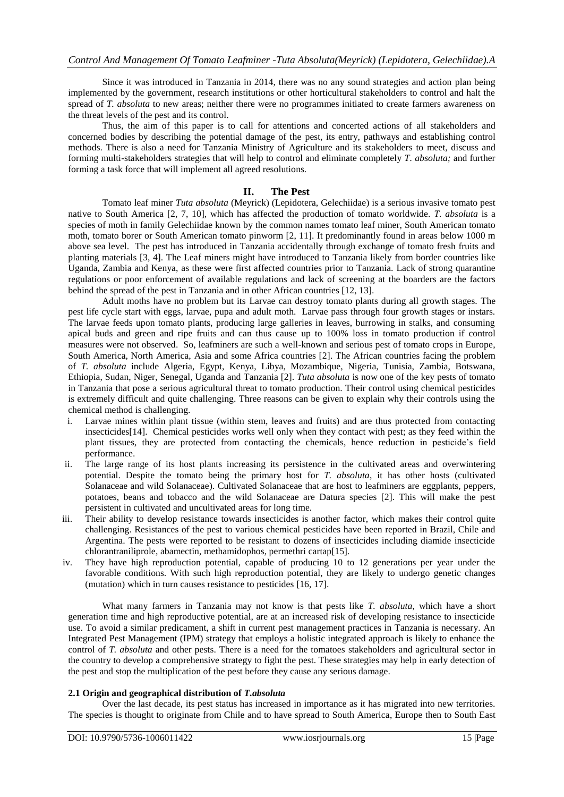Since it was introduced in Tanzania in 2014, there was no any sound strategies and action plan being implemented by the government, research institutions or other horticultural stakeholders to control and halt the spread of *T. absoluta* to new areas; neither there were no programmes initiated to create farmers awareness on the threat levels of the pest and its control.

Thus, the aim of this paper is to call for attentions and concerted actions of all stakeholders and concerned bodies by describing the potential damage of the pest, its entry, pathways and establishing control methods. There is also a need for Tanzania Ministry of Agriculture and its stakeholders to meet, discuss and forming multi-stakeholders strategies that will help to control and eliminate completely *T. absoluta;* and further forming a task force that will implement all agreed resolutions.

# **II. The Pest**

Tomato leaf miner *Tuta absoluta* (Meyrick) (Lepidotera, Gelechiidae) is a serious invasive tomato pest native to South America [2, 7, 10], which has affected the production of tomato worldwide. *T. absoluta* is a species of moth in family Gelechiidae known by the common names tomato leaf miner, South American tomato moth, tomato borer or South American tomato pinworm [2, 11]. It predominantly found in areas below 1000 m above sea level. The pest has introduced in Tanzania accidentally through exchange of tomato fresh fruits and planting materials [3, 4]. The Leaf miners might have introduced to Tanzania likely from border countries like Uganda, Zambia and Kenya, as these were first affected countries prior to Tanzania. Lack of strong quarantine regulations or poor enforcement of available regulations and lack of screening at the boarders are the factors behind the spread of the pest in Tanzania and in other African countries [12, 13].

Adult moths have no problem but its Larvae can destroy tomato plants during all growth stages. The pest life cycle start with eggs, larvae, pupa and adult moth. Larvae pass through four growth stages or instars. The larvae feeds upon tomato plants, producing large galleries in leaves, burrowing in stalks, and consuming apical buds and green and ripe fruits and can thus cause up to 100% loss in tomato production if control measures were not observed. So, leafminers are such a well-known and serious pest of tomato crops in Europe, South America, North America, Asia and some Africa countries [2]. The African countries facing the problem of *T. absoluta* include Algeria, Egypt, Kenya, Libya, Mozambique, Nigeria, Tunisia, Zambia, Botswana, Ethiopia, Sudan, Niger, Senegal, Uganda and Tanzania [2]. *Tuta absoluta* is now one of the key pests of tomato in Tanzania that pose a serious agricultural threat to tomato production. Their control using chemical pesticides is extremely difficult and quite challenging. Three reasons can be given to explain why their controls using the chemical method is challenging.

- i. Larvae mines within plant tissue (within stem, leaves and fruits) and are thus protected from contacting insecticides[14]. Chemical pesticides works well only when they contact with pest; as they feed within the plant tissues, they are protected from contacting the chemicals, hence reduction in pesticide's field performance.
- ii. The large range of its host plants increasing its persistence in the cultivated areas and overwintering potential. Despite the tomato being the primary host for *T. absoluta*, it has other hosts (cultivated Solanaceae and wild Solanaceae). Cultivated Solanaceae that are host to leafminers are eggplants, peppers, potatoes, beans and tobacco and the wild Solanaceae are Datura species [2]. This will make the pest persistent in cultivated and uncultivated areas for long time.
- iii. Their ability to develop resistance towards insecticides is another factor, which makes their control quite challenging. Resistances of the pest to various chemical pesticides have been reported in Brazil, Chile and Argentina. The pests were reported to be resistant to dozens of insecticides including diamide insecticide chlorantraniliprole, abamectin, methamidophos, permethri cartap[15].
- iv. They have high reproduction potential, capable of producing 10 to 12 generations per year under the favorable conditions. With such high reproduction potential, they are likely to undergo genetic changes (mutation) which in turn causes resistance to pesticides [16, 17].

What many farmers in Tanzania may not know is that pests like *T. absoluta*, which have a short generation time and high reproductive potential, are at an increased risk of developing resistance to insecticide use. To avoid a similar predicament, a shift in current pest management practices in Tanzania is necessary. An Integrated Pest Management (IPM) strategy that employs a holistic integrated approach is likely to enhance the control of *T. absoluta* and other pests. There is a need for the tomatoes stakeholders and agricultural sector in the country to develop a comprehensive strategy to fight the pest. These strategies may help in early detection of the pest and stop the multiplication of the pest before they cause any serious damage.

#### **2.1 Origin and geographical distribution of** *T.absoluta*

Over the last decade, its pest status has increased in importance as it has migrated into new territories. The species is thought to originate from Chile and to have spread to South America, Europe then to South East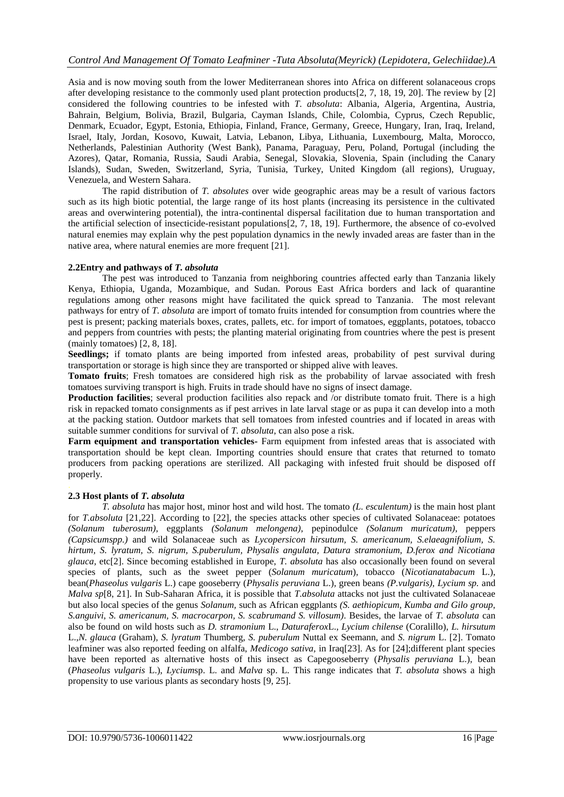Asia and is now moving south from the lower Mediterranean shores into Africa on different solanaceous crops after developing resistance to the commonly used plant protection products[2, 7, 18, 19, 20]. The review by [2] considered the following countries to be infested with *T. absoluta*: Albania, Algeria, Argentina, Austria, Bahrain, Belgium, Bolivia, Brazil, Bulgaria, Cayman Islands, Chile, Colombia, Cyprus, Czech Republic, Denmark, Ecuador, Egypt, Estonia, Ethiopia, Finland, France, Germany, Greece, Hungary, Iran, Iraq, Ireland, Israel, Italy, Jordan, Kosovo, Kuwait, Latvia, Lebanon, Libya, Lithuania, Luxembourg, Malta, Morocco, Netherlands, Palestinian Authority (West Bank), Panama, Paraguay, Peru, Poland, Portugal (including the Azores), Qatar, Romania, Russia, Saudi Arabia, Senegal, Slovakia, Slovenia, Spain (including the Canary Islands), Sudan, Sweden, Switzerland, Syria, Tunisia, Turkey, United Kingdom (all regions), Uruguay, Venezuela, and Western Sahara.

The rapid distribution of *T. absolutes* over wide geographic areas may be a result of various factors such as its high biotic potential, the large range of its host plants (increasing its persistence in the cultivated areas and overwintering potential), the intra-continental dispersal facilitation due to human transportation and the artificial selection of insecticide-resistant populations[2, 7, 18, 19]. Furthermore, the absence of co-evolved natural enemies may explain why the pest population dynamics in the newly invaded areas are faster than in the native area, where natural enemies are more frequent [21].

#### **2.2Entry and pathways of** *T. absoluta*

The pest was introduced to Tanzania from neighboring countries affected early than Tanzania likely Kenya, Ethiopia, Uganda, Mozambique, and Sudan. Porous East Africa borders and lack of quarantine regulations among other reasons might have facilitated the quick spread to Tanzania. The most relevant pathways for entry of *T. absoluta* are import of tomato fruits intended for consumption from countries where the pest is present; packing materials boxes, crates, pallets, etc. for import of tomatoes, eggplants, potatoes, tobacco and peppers from countries with pests; the planting material originating from countries where the pest is present (mainly tomatoes) [2, 8, 18].

Seedlings; if tomato plants are being imported from infested areas, probability of pest survival during transportation or storage is high since they are transported or shipped alive with leaves.

**Tomato fruits**; Fresh tomatoes are considered high risk as the probability of larvae associated with fresh tomatoes surviving transport is high. Fruits in trade should have no signs of insect damage.

**Production facilities**; several production facilities also repack and /or distribute tomato fruit. There is a high risk in repacked tomato consignments as if pest arrives in late larval stage or as pupa it can develop into a moth at the packing station. Outdoor markets that sell tomatoes from infested countries and if located in areas with suitable summer conditions for survival of *T. absoluta*, can also pose a risk.

**Farm equipment and transportation vehicles-** Farm equipment from infested areas that is associated with transportation should be kept clean. Importing countries should ensure that crates that returned to tomato producers from packing operations are sterilized. All packaging with infested fruit should be disposed off properly.

# **2.3 Host plants of** *T. absoluta*

*T. absoluta* has major host, minor host and wild host. The tomato *(L. esculentum)* is the main host plant for *T.absoluta* [21,22]. According to [22], the species attacks other species of cultivated Solanaceae: potatoes *(Solanum tuberosum)*, eggplants *(Solanum melongena)*, pepinodulce *(Solanum muricatum)*, peppers *(Capsicumspp.)* and wild Solanaceae such as *Lycopersicon hirsutum, S. americanum, S.elaeagnifolium, S. hirtum, S. lyratum, S. nigrum, S.puberulum, Physalis angulata, Datura stramonium, D.ferox and Nicotiana glauca,* etc[2]. Since becoming established in Europe, *T. absoluta* has also occasionally been found on several species of plants, such as the sweet pepper (*Solanum muricatum*), tobacco (*Nicotianatabacum* L.), bean(*Phaseolus vulgaris* L.) cape gooseberry (*Physalis peruviana* L.)*,* green beans *(P.vulgaris), Lycium sp.* and *Malva sp*[8, 21]. In Sub-Saharan Africa, it is possible that *T.absoluta* attacks not just the cultivated Solanaceae but also local species of the genus *Solanum,* such as African eggplants *(S. aethiopicum, Kumba and Gilo group, S.anguivi, S. americanum, S. macrocarpon, S. scabrumand S. villosum)*. Besides, the larvae of *T. absoluta* can also be found on wild hosts such as *D. stramonium* L., *Daturaferox*L., *Lycium chilense* (Coralillo), *L. hirsutum*  L.,*N. glauca* (Graham), *S. lyratum* Thumberg, *S. puberulum* Nuttal ex Seemann, and *S. nigrum* L. [2]. Tomato leafminer was also reported feeding on alfalfa, *Medicogo sativa,* in Iraq[23]. As for [24];different plant species have been reported as alternative hosts of this insect as Capegooseberry (*Physalis peruviana* L.), bean (*Phaseolus vulgaris* L.), *Lycium*sp. L. and *Malva* sp. L. This range indicates that *T. absoluta* shows a high propensity to use various plants as secondary hosts [9, 25].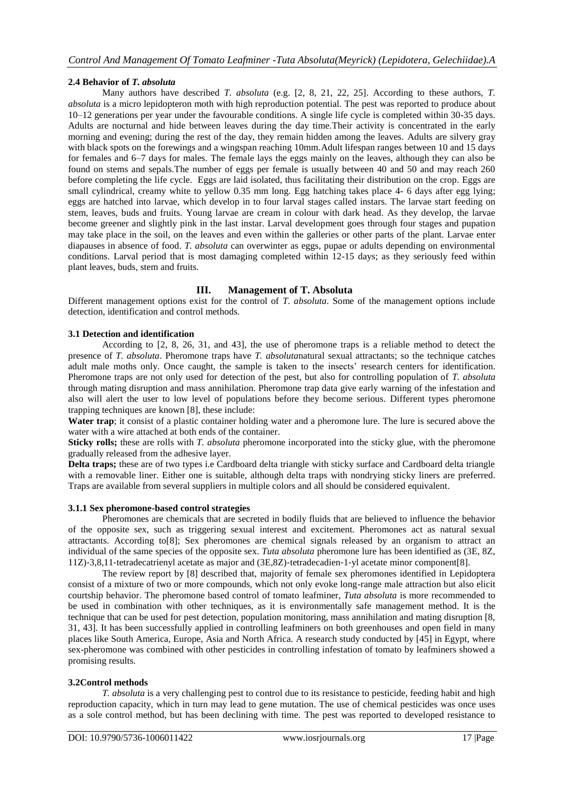# **2.4 Behavior of** *T. absoluta*

Many authors have described *T. absoluta* (e.g. [2, 8, 21, 22, 25]. According to these authors, *T. absoluta* is a micro lepidopteron moth with high reproduction potential. The pest was reported to produce about 10–12 generations per year under the favourable conditions. A single life cycle is completed within 30-35 days. Adults are nocturnal and hide between leaves during the day time.Their activity is concentrated in the early morning and evening; during the rest of the day, they remain hidden among the leaves. Adults are silvery gray with black spots on the forewings and a wingspan reaching 10mm. Adult lifespan ranges between 10 and 15 days for females and 6–7 days for males. The female lays the eggs mainly on the leaves, although they can also be found on stems and sepals.The number of eggs per female is usually between 40 and 50 and may reach 260 before completing the life cycle. Eggs are laid isolated, thus facilitating their distribution on the crop. Eggs are small cylindrical, creamy white to yellow 0.35 mm long. Egg hatching takes place 4- 6 days after egg lying; eggs are hatched into larvae, which develop in to four larval stages called instars. The larvae start feeding on stem, leaves, buds and fruits. Young larvae are cream in colour with dark head. As they develop, the larvae become greener and slightly pink in the last instar. Larval development goes through four stages and pupation may take place in the soil, on the leaves and even within the galleries or other parts of the plant. Larvae enter diapauses in absence of food. *T. absoluta* can overwinter as eggs, pupae or adults depending on environmental conditions. Larval period that is most damaging completed within 12-15 days; as they seriously feed within plant leaves, buds, stem and fruits.

# **III. Management of T. Absoluta**

Different management options exist for the control of *T. absoluta*. Some of the management options include detection, identification and control methods.

# **3.1 Detection and identification**

According to [2, 8, 26, 31, and 43], the use of pheromone traps is a reliable method to detect the presence of *T. absoluta*. Pheromone traps have *T. absoluta*natural sexual attractants; so the technique catches adult male moths only. Once caught, the sample is taken to the insects' research centers for identification. Pheromone traps are not only used for detection of the pest, but also for controlling population of *T. absoluta* through mating disruption and mass annihilation. Pheromone trap data give early warning of the infestation and also will alert the user to low level of populations before they become serious. Different types pheromone trapping techniques are known [8], these include:

**Water trap**; it consist of a plastic container holding water and a pheromone lure. The lure is secured above the water with a wire attached at both ends of the container.

**Sticky rolls;** these are rolls with *T. absoluta* pheromone incorporated into the sticky glue, with the pheromone gradually released from the adhesive layer.

**Delta traps;** these are of two types i.e Cardboard delta triangle with sticky surface and Cardboard delta triangle with a removable liner. Either one is suitable, although delta traps with nondrying sticky liners are preferred. Traps are available from several suppliers in multiple colors and all should be considered equivalent.

# **3.1.1 Sex pheromone-based control strategies**

Pheromones are chemicals that are secreted in bodily fluids that are believed to influence the behavior of the opposite sex, such as triggering sexual interest and excitement. Pheromones act as natural sexual attractants. According to[8]; Sex pheromones are chemical signals released by an organism to attract an individual of the same species of the opposite sex. *Tuta absoluta* pheromone lure has been identified as (3E, 8Z, 11Z)‐3,8,11‐tetradecatrienyl acetate as major and (3E,8Z)‐tetradecadien‐1‐yl acetate minor component[8].

The review report by [8] described that, majority of female sex pheromones identified in Lepidoptera consist of a mixture of two or more compounds, which not only evoke long-range male attraction but also elicit courtship behavior. The pheromone based control of tomato leafminer, *Tuta absoluta* is more recommended to be used in combination with other techniques, as it is environmentally safe management method. It is the technique that can be used for pest detection, population monitoring, mass annihilation and mating disruption [8, 31, 43]. It has been successfully applied in controlling leafminers on both greenhouses and open field in many places like South America, Europe, Asia and North Africa. A research study conducted by [45] in Egypt, where sex-pheromone was combined with other pesticides in controlling infestation of tomato by leafminers showed a promising results.

# **3.2Control methods**

*T. absoluta* is a very challenging pest to control due to its resistance to pesticide, feeding habit and high reproduction capacity, which in turn may lead to gene mutation. The use of chemical pesticides was once uses as a sole control method, but has been declining with time. The pest was reported to developed resistance to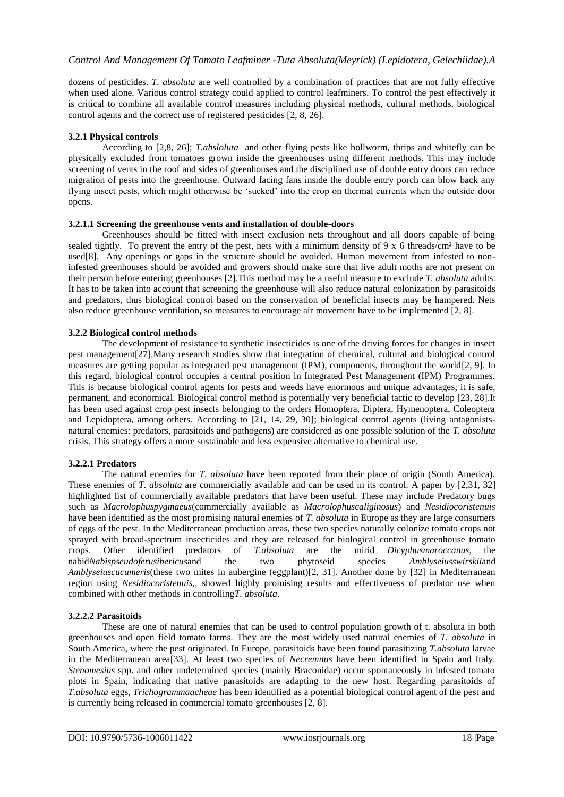dozens of pesticides. *T. absoluta* are well controlled by a combination of practices that are not fully effective when used alone. Various control strategy could applied to control leafminers. To control the pest effectively it is critical to combine all available control measures including physical methods, cultural methods, biological control agents and the correct use of registered pesticides [2, 8, 26].

#### **3.2.1 Physical controls**

According to [2,8, 26]; *T.absloluta* and other flying pests like bollworm, thrips and whitefly can be physically excluded from tomatoes grown inside the greenhouses using different methods. This may include screening of vents in the roof and sides of greenhouses and the disciplined use of double entry doors can reduce migration of pests into the greenhouse. Outward facing fans inside the double entry porch can blow back any flying insect pests, which might otherwise be 'sucked' into the crop on thermal currents when the outside door opens.

#### **3.2.1.1 Screening the greenhouse vents and installation of double-doors**

Greenhouses should be fitted with insect exclusion nets throughout and all doors capable of being sealed tightly. To prevent the entry of the pest, nets with a minimum density of  $9 \times 6$  threads/cm<sup>2</sup> have to be used[8]. Any openings or gaps in the structure should be avoided. Human movement from infested to noninfested greenhouses should be avoided and growers should make sure that live adult moths are not present on their person before entering greenhouses [2].This method may be a useful measure to exclude *T. absoluta* adults. It has to be taken into account that screening the greenhouse will also reduce natural colonization by parasitoids and predators, thus biological control based on the conservation of beneficial insects may be hampered. Nets also reduce greenhouse ventilation, so measures to encourage air movement have to be implemented [2, 8].

#### **3.2.2 Biological control methods**

The development of resistance to synthetic insecticides is one of the driving forces for changes in insect pest management[27].Many research studies show that integration of chemical, cultural and biological control measures are getting popular as integrated pest management (IPM), components, throughout the world[2, 9]. In this regard, biological control occupies a central position in Integrated Pest Management (IPM) Programmes. This is because biological control agents for pests and weeds have enormous and unique advantages; it is safe, permanent, and economical. Biological control method is potentially very beneficial tactic to develop [23, 28].It has been used against crop pest insects belonging to the orders Homoptera, Diptera, Hymenoptera, Coleoptera and Lepidoptera, among others. According to [21, 14, 29, 30]; biological control agents (living antagonistsnatural enemies: predators, parasitoids and pathogens) are considered as one possible solution of the *T. absoluta* crisis. This strategy offers a more sustainable and less expensive alternative to chemical use.

# **3.2.2.1 Predators**

The natural enemies for *T. absoluta* have been reported from their place of origin (South America). These enemies of *T. absoluta* are commercially available and can be used in its control. A paper by [2,31, 32] highlighted list of commercially available predators that have been useful. These may include Predatory bugs such as *Macrolophuspygmaeus*(commercially available as *Macrolophuscaliginosus*) and *Nesidiocoristenuis* have been identified as the most promising natural enemies of *T. absoluta* in Europe as they are large consumers of eggs of the pest. In the Mediterranean production areas, these two species naturally colonize tomato crops not sprayed with broad-spectrum insecticides and they are released for biological control in greenhouse tomato crops. Other identified predators of *T.absoluta* are the mirid *Dicyphusmaroccanus*, the nabid*Nabispseudoferusibericus*and the two phytoseid species *Amblyseiusswirskii*and *Amblyseiuscucumeris*(these two mites in aubergine (eggplant)[2, 31]. Another done by [32] in Mediterranean region using *Nesidiocoristenuis,*, showed highly promising results and effectiveness of predator use when combined with other methods in controlling*T. absoluta*.

# **3.2.2.2 Parasitoids**

These are one of natural enemies that can be used to control population growth of t. absoluta in both greenhouses and open field tomato farms. They are the most widely used natural enemies of *T. absoluta* in South America, where the pest originated. In Europe, parasitoids have been found parasitizing *T.absoluta* larvae in the Mediterranean area[33]. At least two species of *Necremnus* have been identified in Spain and Italy. *Stenomesius* spp. and other undetermined species (mainly Braconidae) occur spontaneously in infested tomato plots in Spain, indicating that native parasitoids are adapting to the new host. Regarding parasitoids of *T.absoluta* eggs, *Trichogrammaacheae* has been identified as a potential biological control agent of the pest and is currently being released in commercial tomato greenhouses [2, 8].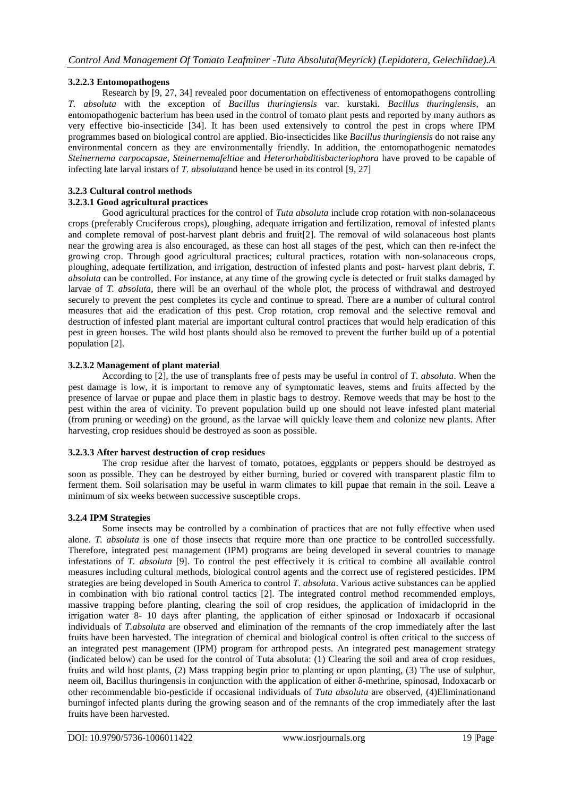# **3.2.2.3 Entomopathogens**

Research by [9, 27, 34] revealed poor documentation on effectiveness of entomopathogens controlling *T. absoluta* with the exception of *Bacillus thuringiensis* var. kurstaki. *Bacillus thuringiensis*, an entomopathogenic bacterium has been used in the control of tomato plant pests and reported by many authors as very effective bio-insecticide [34]. It has been used extensively to control the pest in crops where IPM programmes based on biological control are applied. Bio-insecticides like *Bacillus thuringiensis* do not raise any environmental concern as they are environmentally friendly. In addition, the entomopathogenic nematodes *Steinernema carpocapsae*, *Steinernemafeltiae* and *Heterorhabditisbacteriophora* have proved to be capable of infecting late larval instars of *T. absoluta*and hence be used in its control [9, 27]

# **3.2.3 Cultural control methods**

# **3.2.3.1 Good agricultural practices**

Good agricultural practices for the control of *Tuta absoluta* include crop rotation with non-solanaceous crops (preferably Cruciferous crops), ploughing, adequate irrigation and fertilization, removal of infested plants and complete removal of post-harvest plant debris and fruit[2]. The removal of wild solanaceous host plants near the growing area is also encouraged, as these can host all stages of the pest, which can then re-infect the growing crop. Through good agricultural practices; cultural practices, rotation with non-solanaceous crops, ploughing, adequate fertilization, and irrigation, destruction of infested plants and post- harvest plant debris, *T. absoluta* can be controlled. For instance, at any time of the growing cycle is detected or fruit stalks damaged by larvae of *T. absoluta*, there will be an overhaul of the whole plot, the process of withdrawal and destroyed securely to prevent the pest completes its cycle and continue to spread. There are a number of cultural control measures that aid the eradication of this pest. Crop rotation, crop removal and the selective removal and destruction of infested plant material are important cultural control practices that would help eradication of this pest in green houses. The wild host plants should also be removed to prevent the further build up of a potential population [2].

# **3.2.3.2 Management of plant material**

According to [2], the use of transplants free of pests may be useful in control of *T. absoluta*. When the pest damage is low, it is important to remove any of symptomatic leaves, stems and fruits affected by the presence of larvae or pupae and place them in plastic bags to destroy. Remove weeds that may be host to the pest within the area of vicinity. To prevent population build up one should not leave infested plant material (from pruning or weeding) on the ground, as the larvae will quickly leave them and colonize new plants. After harvesting, crop residues should be destroyed as soon as possible.

# **3.2.3.3 After harvest destruction of crop residues**

The crop residue after the harvest of tomato, potatoes, eggplants or peppers should be destroyed as soon as possible. They can be destroyed by either burning, buried or covered with transparent plastic film to ferment them. Soil solarisation may be useful in warm climates to kill pupae that remain in the soil. Leave a minimum of six weeks between successive susceptible crops.

# **3.2.4 IPM Strategies**

Some insects may be controlled by a combination of practices that are not fully effective when used alone. *T. absoluta* is one of those insects that require more than one practice to be controlled successfully. Therefore, integrated pest management (IPM) programs are being developed in several countries to manage infestations of *T. absoluta* [9]. To control the pest effectively it is critical to combine all available control measures including cultural methods, biological control agents and the correct use of registered pesticides. IPM strategies are being developed in South America to control *T. absoluta*. Various active substances can be applied in combination with bio rational control tactics [2]. The integrated control method recommended employs, massive trapping before planting, clearing the soil of crop residues, the application of imidacloprid in the irrigation water 8- 10 days after planting, the application of either spinosad or Indoxacarb if occasional individuals of *T.absoluta* are observed and elimination of the remnants of the crop immediately after the last fruits have been harvested. The integration of chemical and biological control is often critical to the success of an integrated pest management (IPM) program for arthropod pests. An integrated pest management strategy (indicated below) can be used for the control of Tuta absoluta: (1) Clearing the soil and area of crop residues, fruits and wild host plants, (2) Mass trapping begin prior to planting or upon planting, (3) The use of sulphur, neem oil, Bacillus thuringensis in conjunction with the application of either δ-methrine, spinosad, Indoxacarb or other recommendable bio-pesticide if occasional individuals of *Tuta absoluta* are observed, (4)Eliminationand burningof infected plants during the growing season and of the remnants of the crop immediately after the last fruits have been harvested.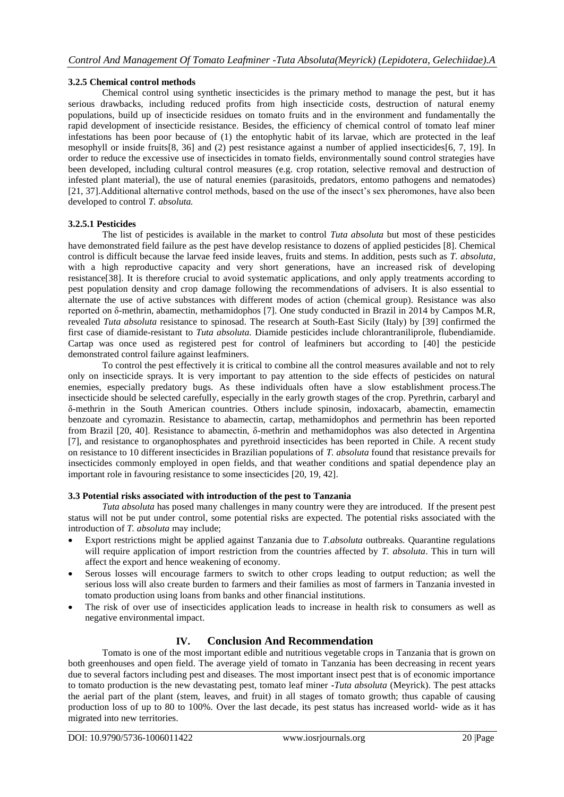#### **3.2.5 Chemical control methods**

Chemical control using synthetic insecticides is the primary method to manage the pest, but it has serious drawbacks, including reduced profits from high insecticide costs, destruction of natural enemy populations, build up of insecticide residues on tomato fruits and in the environment and fundamentally the rapid development of insecticide resistance. Besides, the efficiency of chemical control of tomato leaf miner infestations has been poor because of (1) the entophytic habit of its larvae, which are protected in the leaf mesophyll or inside fruits[8, 36] and (2) pest resistance against a number of applied insecticides[6, 7, 19]. In order to reduce the excessive use of insecticides in tomato fields, environmentally sound control strategies have been developed, including cultural control measures (e.g. crop rotation, selective removal and destruction of infested plant material), the use of natural enemies (parasitoids, predators, entomo pathogens and nematodes) [21, 37].Additional alternative control methods, based on the use of the insect's sex pheromones, have also been developed to control *T. absoluta.*

#### **3.2.5.1 Pesticides**

The list of pesticides is available in the market to control *Tuta absoluta* but most of these pesticides have demonstrated field failure as the pest have develop resistance to dozens of applied pesticides [8]. Chemical control is difficult because the larvae feed inside leaves, fruits and stems. In addition, pests such as *T. absoluta*, with a high reproductive capacity and very short generations, have an increased risk of developing resistance[38]. It is therefore crucial to avoid systematic applications, and only apply treatments according to pest population density and crop damage following the recommendations of advisers. It is also essential to alternate the use of active substances with different modes of action (chemical group). Resistance was also reported on δ-methrin, abamectin, methamidophos [7]. One study conducted in Brazil in 2014 by Campos M.R, revealed *Tuta absoluta* resistance to spinosad. The research at South-East Sicily (Italy) by [39] confirmed the first case of diamide-resistant to *Tuta absoluta.* Diamide pesticides include chlorantraniliprole, flubendiamide. Cartap was once used as registered pest for control of leafminers but according to [40] the pesticide demonstrated control failure against leafminers.

To control the pest effectively it is critical to combine all the control measures available and not to rely only on insecticide sprays. It is very important to pay attention to the side effects of pesticides on natural enemies, especially predatory bugs. As these individuals often have a slow establishment process.The insecticide should be selected carefully, especially in the early growth stages of the crop. Pyrethrin, carbaryl and δ-methrin in the South American countries. Others include spinosin, indoxacarb, abamectin, emamectin benzoate and cyromazin. Resistance to abamectin, cartap, methamidophos and permethrin has been reported from Brazil [20, 40]. Resistance to abamectin, δ-methrin and methamidophos was also detected in Argentina [7], and resistance to organophosphates and pyrethroid insecticides has been reported in Chile. A recent study on resistance to 10 different insecticides in Brazilian populations of *T. absoluta* found that resistance prevails for insecticides commonly employed in open fields, and that weather conditions and spatial dependence play an important role in favouring resistance to some insecticides [20, 19, 42].

#### **3.3 Potential risks associated with introduction of the pest to Tanzania**

*Tuta absoluta* has posed many challenges in many country were they are introduced. If the present pest status will not be put under control, some potential risks are expected. The potential risks associated with the introduction of *T. absoluta* may include;

- Export restrictions might be applied against Tanzania due to *T.absoluta* outbreaks. Quarantine regulations will require application of import restriction from the countries affected by *T. absoluta*. This in turn will affect the export and hence weakening of economy.
- Serous losses will encourage farmers to switch to other crops leading to output reduction; as well the serious loss will also create burden to farmers and their families as most of farmers in Tanzania invested in tomato production using loans from banks and other financial institutions.
- The risk of over use of insecticides application leads to increase in health risk to consumers as well as negative environmental impact.

# **IV. Conclusion And Recommendation**

Tomato is one of the most important edible and nutritious vegetable crops in Tanzania that is grown on both greenhouses and open field. The average yield of tomato in Tanzania has been decreasing in recent years due to several factors including pest and diseases. The most important insect pest that is of economic importance to tomato production is the new devastating pest, tomato leaf miner **-***Tuta absoluta* (Meyrick). The pest attacks the aerial part of the plant (stem, leaves, and fruit) in all stages of tomato growth; thus capable of causing production loss of up to 80 to 100%. Over the last decade, its pest status has increased world- wide as it has migrated into new territories.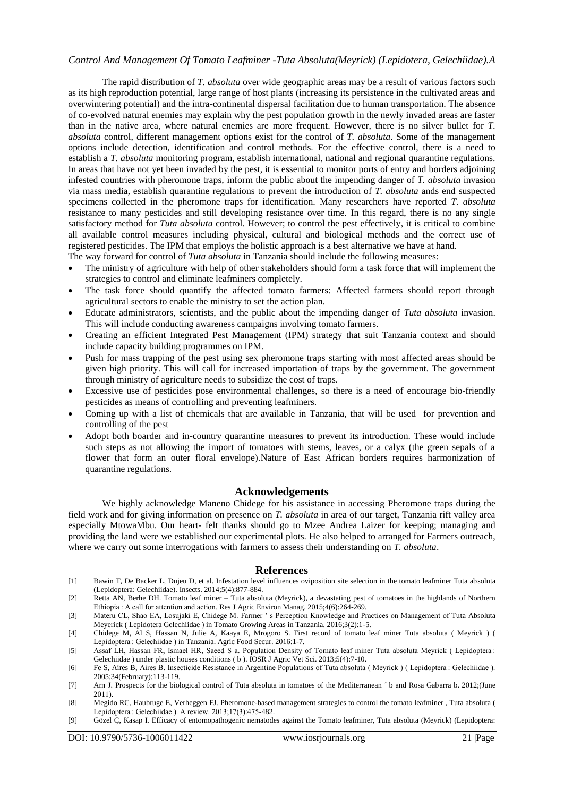# *Control And Management Of Tomato Leafminer -Tuta Absoluta(Meyrick) (Lepidotera, Gelechiidae).A*

The rapid distribution of *T. absoluta* over wide geographic areas may be a result of various factors such as its high reproduction potential, large range of host plants (increasing its persistence in the cultivated areas and overwintering potential) and the intra-continental dispersal facilitation due to human transportation. The absence of co-evolved natural enemies may explain why the pest population growth in the newly invaded areas are faster than in the native area, where natural enemies are more frequent. However, there is no silver bullet for *T. absoluta* control, different management options exist for the control of *T. absoluta*. Some of the management options include detection, identification and control methods. For the effective control, there is a need to establish a *T. absoluta* monitoring program, establish international, national and regional quarantine regulations. In areas that have not yet been invaded by the pest, it is essential to monitor ports of entry and borders adjoining infested countries with pheromone traps, inform the public about the impending danger of *T. absoluta* invasion via mass media, establish quarantine regulations to prevent the introduction of *T. absoluta* ands end suspected specimens collected in the pheromone traps for identification. Many researchers have reported *T. absoluta* resistance to many pesticides and still developing resistance over time. In this regard, there is no any single satisfactory method for *Tuta absoluta* control. However; to control the pest effectively, it is critical to combine all available control measures including physical, cultural and biological methods and the correct use of registered pesticides. The IPM that employs the holistic approach is a best alternative we have at hand.

The way forward for control of *Tuta absoluta* in Tanzania should include the following measures:

- The ministry of agriculture with help of other stakeholders should form a task force that will implement the strategies to control and eliminate leafminers completely.
- The task force should quantify the affected tomato farmers: Affected farmers should report through agricultural sectors to enable the ministry to set the action plan.
- Educate administrators, scientists, and the public about the impending danger of *Tuta absoluta* invasion. This will include conducting awareness campaigns involving tomato farmers.
- Creating an efficient Integrated Pest Management (IPM) strategy that suit Tanzania context and should include capacity building programmes on IPM.
- Push for mass trapping of the pest using sex pheromone traps starting with most affected areas should be given high priority. This will call for increased importation of traps by the government. The government through ministry of agriculture needs to subsidize the cost of traps.
- Excessive use of pesticides pose environmental challenges, so there is a need of encourage bio-friendly pesticides as means of controlling and preventing leafminers.
- Coming up with a list of chemicals that are available in Tanzania, that will be used for prevention and controlling of the pest
- Adopt both boarder and in-country quarantine measures to prevent its introduction. These would include such steps as not allowing the import of tomatoes with stems, leaves, or a calyx (the green sepals of a flower that form an outer floral envelope).Nature of East African borders requires harmonization of quarantine regulations.

#### **Acknowledgements**

We highly acknowledge Maneno Chidege for his assistance in accessing Pheromone traps during the field work and for giving information on presence on *T. absoluta* in area of our target, Tanzania rift valley area especially MtowaMbu. Our heart- felt thanks should go to Mzee Andrea Laizer for keeping; managing and providing the land were we established our experimental plots. He also helped to arranged for Farmers outreach, where we carry out some interrogations with farmers to assess their understanding on *T. absoluta*.

#### **References**

- [1] Bawin T, De Backer L, Dujeu D, et al. Infestation level influences oviposition site selection in the tomato leafminer Tuta absoluta (Lepidoptera: Gelechiidae). Insects. 2014;5(4):877-884.
- [2] Retta AN, Berhe DH. Tomato leaf miner Tuta absoluta (Meyrick), a devastating pest of tomatoes in the highlands of Northern Ethiopia : A call for attention and action. Res J Agric Environ Manag. 2015;4(6):264-269.
- [3] Materu CL, Shao EA, Losujaki E, Chidege M. Farmer ' s Perception Knowledge and Practices on Management of Tuta Absoluta Meyerick ( Lepidotera Gelechiidae ) in Tomato Growing Areas in Tanzania. 2016;3(2):1-5.
- [4] Chidege M, Al S, Hassan N, Julie A, Kaaya E, Mrogoro S. First record of tomato leaf miner Tuta absoluta ( Meyrick ) ( Lepidoptera : Gelechiidae ) in Tanzania. Agric Food Secur. 2016:1-7.
- [5] Assaf LH, Hassan FR, Ismael HR, Saeed S a. Population Density of Tomato leaf miner Tuta absoluta Meyrick ( Lepidoptera : Gelechiidae ) under plastic houses conditions ( b ). IOSR J Agric Vet Sci. 2013;5(4):7-10.
- [6] Fe S, Aires B, Aires B. Insecticide Resistance in Argentine Populations of Tuta absoluta ( Meyrick ) ( Lepidoptera : Gelechiidae ). 2005;34(February):113-119.
- [7] Arn J. Prospects for the biological control of Tuta absoluta in tomatoes of the Mediterranean  $\hat{ }$  b and Rosa Gabarra b. 2012;(June 2011).
- [8] Megido RC, Haubruge E, Verheggen FJ. Pheromone-based management strategies to control the tomato leafminer , Tuta absoluta ( Lepidoptera : Gelechiidae ). A review. 2013;17(3):475-482.
- [9] Gözel Ç, Kasap I. Efficacy of entomopathogenic nematodes against the Tomato leafminer, Tuta absoluta (Meyrick) (Lepidoptera: